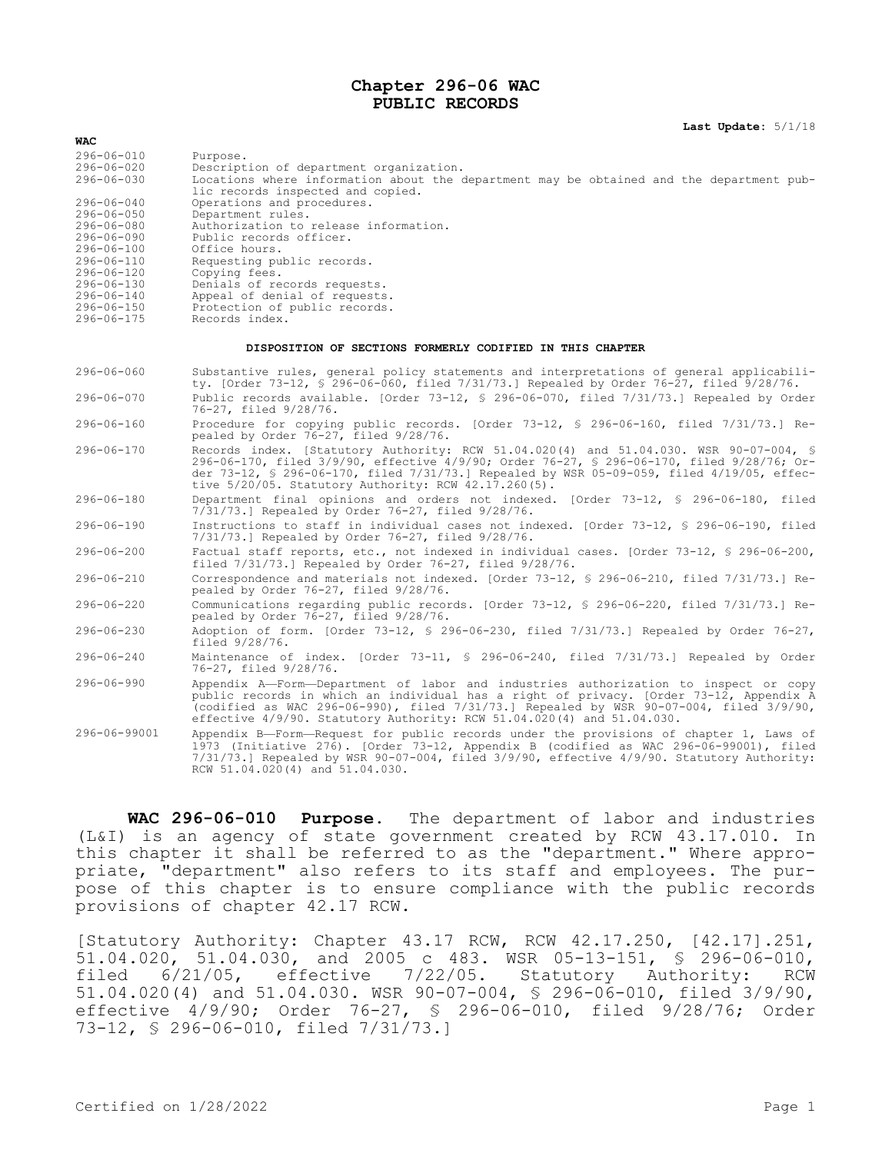### **Chapter 296-06 WAC PUBLIC RECORDS**

**Last Update:** 5/1/18

| <b>WAC</b>                                                             |                                                                                                                                                                                                                                                                                                                                                            |  |  |
|------------------------------------------------------------------------|------------------------------------------------------------------------------------------------------------------------------------------------------------------------------------------------------------------------------------------------------------------------------------------------------------------------------------------------------------|--|--|
| $296 - 06 - 010$<br>$296 - 06 - 020$<br>$296 - 06 - 030$               | Purpose.<br>Description of department organization.<br>Locations where information about the department may be obtained and the department pub-<br>lic records inspected and copied.                                                                                                                                                                       |  |  |
| $296 - 06 - 040$<br>296-06-050<br>296-06-080<br>$296 - 06 - 090$       | Operations and procedures.<br>Department rules.<br>Authorization to release information.<br>Public records officer.                                                                                                                                                                                                                                        |  |  |
| $296 - 06 - 100$<br>$296 - 06 - 110$<br>$296 - 06 - 120$<br>296-06-130 | Office hours.<br>Requesting public records.<br>Copying fees.<br>Denials of records requests.                                                                                                                                                                                                                                                               |  |  |
| $296 - 06 - 140$<br>$296 - 06 - 150$<br>296-06-175                     | Appeal of denial of requests.<br>Protection of public records.<br>Records index.                                                                                                                                                                                                                                                                           |  |  |
| DISPOSITION OF SECTIONS FORMERLY CODIFIED IN THIS CHAPTER              |                                                                                                                                                                                                                                                                                                                                                            |  |  |
| $296 - 06 - 060$                                                       | Substantive rules, general policy statements and interpretations of general applicabili-<br>ty. [Order 73-12, § 296-06-060, filed 7/31/73.] Repealed by Order 76-27, filed 9/28/76.                                                                                                                                                                        |  |  |
| $296 - 06 - 070$                                                       | Public records available. [Order 73-12, § 296-06-070, filed 7/31/73.] Repealed by Order<br>76-27, filed 9/28/76.                                                                                                                                                                                                                                           |  |  |
| $296 - 06 - 160$                                                       | Procedure for copying public records. [Order 73-12, § 296-06-160, filed 7/31/73.] Re-<br>pealed by Order 76-27, filed 9/28/76.                                                                                                                                                                                                                             |  |  |
| $296 - 06 - 170$                                                       | Records index. [Statutory Authority: RCW 51.04.020(4) and 51.04.030. WSR 90-07-004, §<br>296-06-170, filed 3/9/90, effective 4/9/90; Order 76-27, § 296-06-170, filed 9/28/76; Or-<br>der 73-12, § 296-06-170, filed 7/31/73.] Repealed by WSR 05-09-059, filed 4/19/05, effec-<br>tive $5/20/05$ . Statutory Authority: RCW $42.17.260(5)$ .              |  |  |
| $296 - 06 - 180$                                                       | Department final opinions and orders not indexed. [Order 73-12, § 296-06-180, filed<br>7/31/73.] Repealed by Order 76-27, filed 9/28/76.                                                                                                                                                                                                                   |  |  |
| $296 - 06 - 190$                                                       | Instructions to staff in individual cases not indexed. [Order 73-12, § 296-06-190, filed<br>7/31/73.] Repealed by Order 76-27, filed 9/28/76.                                                                                                                                                                                                              |  |  |
| $296 - 06 - 200$                                                       | Factual staff reports, etc., not indexed in individual cases. [Order 73-12, § 296-06-200,<br>filed $7/31/73$ . Repealed by Order $76-27$ , filed $9/28/76$ .                                                                                                                                                                                               |  |  |
| $296 - 06 - 210$                                                       | Correspondence and materials not indexed. [Order 73-12, § 296-06-210, filed 7/31/73.] Re-<br>pealed by Order 76-27, filed 9/28/76.                                                                                                                                                                                                                         |  |  |
| $296 - 06 - 220$                                                       | Communications regarding public records. [Order 73-12, § 296-06-220, filed 7/31/73.] Re-<br>pealed by Order 76-27, filed 9/28/76.                                                                                                                                                                                                                          |  |  |
| $296 - 06 - 230$                                                       | Adoption of form. [Order 73-12, § 296-06-230, filed 7/31/73.] Repealed by Order 76-27,<br>filed 9/28/76.                                                                                                                                                                                                                                                   |  |  |
| $296 - 06 - 240$                                                       | Maintenance of index. [Order 73-11, § 296-06-240, filed 7/31/73.] Repealed by Order<br>76-27, filed 9/28/76.                                                                                                                                                                                                                                               |  |  |
| $296 - 06 - 990$                                                       | Appendix A-Form-Department of labor and industries authorization to inspect or copy<br>public records in which an individual has a right of privacy. [Order 73-12, Appendix A<br>(codified as WAC 296-06-990), filed $7/31/73$ .] Repealed by WSR 90-07-004, filed $3/9/90$ ,<br>effective $4/9/90$ . Statutory Authority: RCW 51.04.020(4) and 51.04.030. |  |  |
| 296-06-99001                                                           | Appendix B-Form-Request for public records under the provisions of chapter 1, Laws of<br>1973 (Initiative 276). [Order 73-12, Appendix B (codified as WAC 296-06-99001), filed<br>7/31/73.] Repealed by WSR 90-07-004, filed 3/9/90, effective 4/9/90. Statutory Authority:<br>RCW 51.04.020(4) and 51.04.030.                                             |  |  |

**WAC 296-06-010 Purpose.** The department of labor and industries (L&I) is an agency of state government created by RCW 43.17.010. In this chapter it shall be referred to as the "department." Where appropriate, "department" also refers to its staff and employees. The purpose of this chapter is to ensure compliance with the public records provisions of chapter 42.17 RCW.

[Statutory Authority: Chapter 43.17 RCW, RCW 42.17.250, [42.17].251, 51.04.020, 51.04.030, and 2005 c 483. WSR 05-13-151, § 296-06-010, filed 6/21/05, effective 7/22/05. Statutory Authority: RCW 51.04.020(4) and 51.04.030. WSR 90-07-004, § 296-06-010, filed 3/9/90, effective 4/9/90; Order 76-27, § 296-06-010, filed 9/28/76; Order 73-12, § 296-06-010, filed 7/31/73.]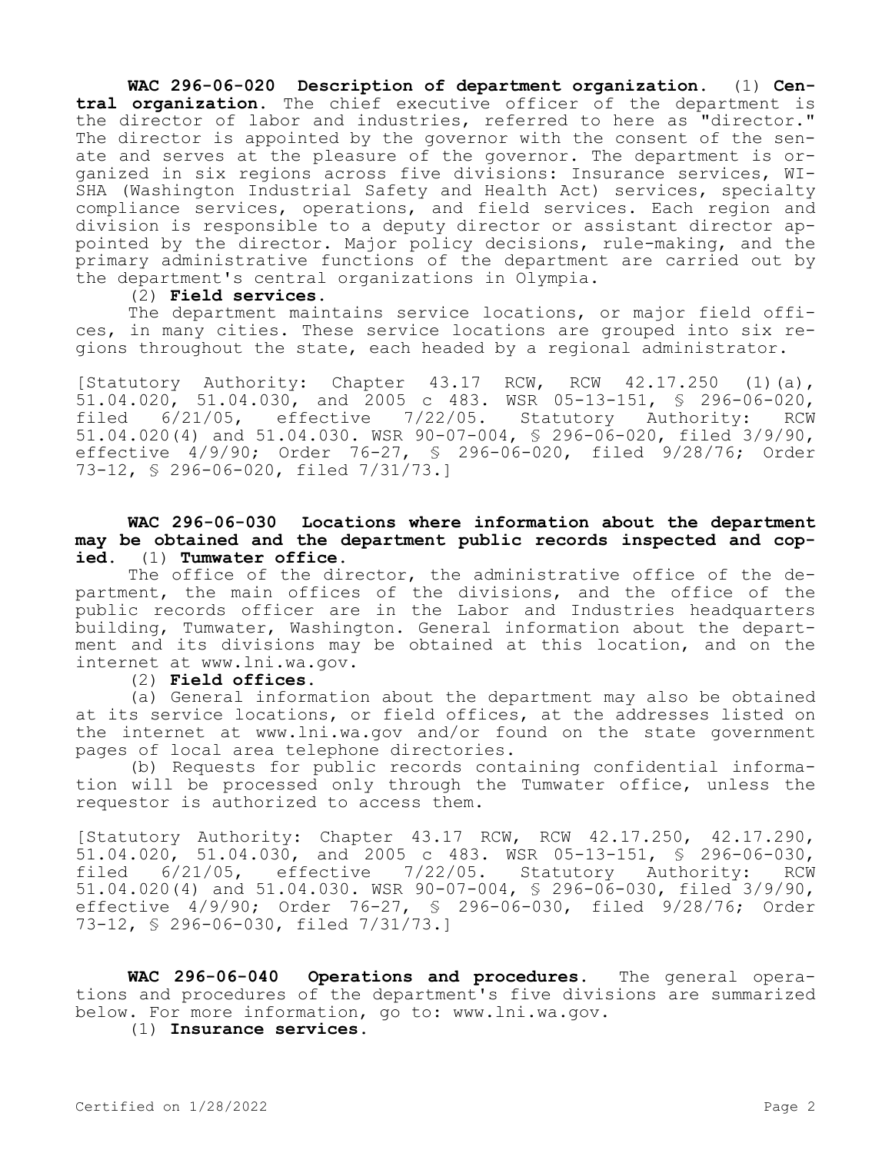**WAC 296-06-020 Description of department organization.** (1) **Central organization.** The chief executive officer of the department is the director of labor and industries, referred to here as "director." The director is appointed by the governor with the consent of the senate and serves at the pleasure of the governor. The department is organized in six regions across five divisions: Insurance services, WI-SHA (Washington Industrial Safety and Health Act) services, specialty compliance services, operations, and field services. Each region and division is responsible to a deputy director or assistant director appointed by the director. Major policy decisions, rule-making, and the primary administrative functions of the department are carried out by the department's central organizations in Olympia.

#### (2) **Field services.**

The department maintains service locations, or major field offices, in many cities. These service locations are grouped into six regions throughout the state, each headed by a regional administrator.

[Statutory Authority: Chapter 43.17 RCW, RCW 42.17.250 (1)(a), 51.04.020, 51.04.030, and 2005 c 483. WSR 05-13-151, § 296-06-020, filed 6/21/05, effective 7/22/05. Statutory Authority: RCW 51.04.020(4) and 51.04.030. WSR 90-07-004, § 296-06-020, filed 3/9/90, effective 4/9/90; Order 76-27, § 296-06-020, filed 9/28/76; Order 73-12, § 296-06-020, filed 7/31/73.]

# **WAC 296-06-030 Locations where information about the department may be obtained and the department public records inspected and copied.** (1) **Tumwater office.**

The office of the director, the administrative office of the department, the main offices of the divisions, and the office of the public records officer are in the Labor and Industries headquarters building, Tumwater, Washington. General information about the department and its divisions may be obtained at this location, and on the internet at www.lni.wa.gov.

### (2) **Field offices.**

(a) General information about the department may also be obtained at its service locations, or field offices, at the addresses listed on the internet at www.lni.wa.gov and/or found on the state government pages of local area telephone directories.

(b) Requests for public records containing confidential information will be processed only through the Tumwater office, unless the requestor is authorized to access them.

[Statutory Authority: Chapter 43.17 RCW, RCW 42.17.250, 42.17.290, 51.04.020, 51.04.030, and 2005 c 483. WSR 05-13-151, § 296-06-030,<br>filed 6/21/05. effective 7/22/05. Statutory Authority: RCW 6/21/05, effective 7/22/05. Statutory Authority: RCW 51.04.020(4) and 51.04.030. WSR 90-07-004, § 296-06-030, filed 3/9/90, effective 4/9/90; Order 76-27, § 296-06-030, filed 9/28/76; Order 73-12, § 296-06-030, filed 7/31/73.]

**WAC 296-06-040 Operations and procedures.** The general operations and procedures of the department's five divisions are summarized below. For more information, go to: www.lni.wa.gov.

(1) **Insurance services.**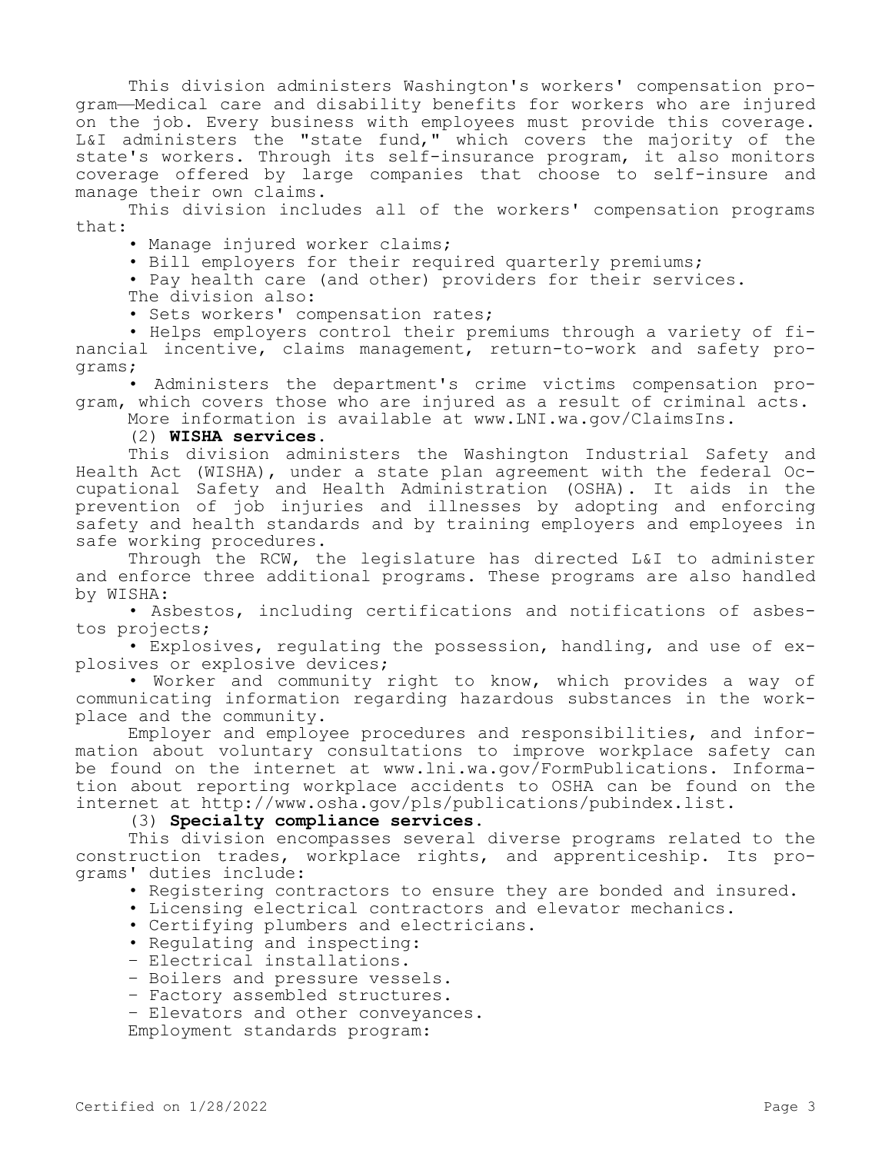This division administers Washington's workers' compensation program—Medical care and disability benefits for workers who are injured on the job. Every business with employees must provide this coverage. L&I administers the "state fund," which covers the majority of the state's workers. Through its self-insurance program, it also monitors coverage offered by large companies that choose to self-insure and manage their own claims.

This division includes all of the workers' compensation programs that:

• Manage injured worker claims;

• Bill employers for their required quarterly premiums;

• Pay health care (and other) providers for their services. The division also:

• Sets workers' compensation rates;

• Helps employers control their premiums through a variety of financial incentive, claims management, return-to-work and safety programs;

• Administers the department's crime victims compensation program, which covers those who are injured as a result of criminal acts.

More information is available at www.LNI.wa.gov/ClaimsIns.

(2) **WISHA services.**

This division administers the Washington Industrial Safety and Health Act (WISHA), under a state plan agreement with the federal Occupational Safety and Health Administration (OSHA). It aids in the prevention of job injuries and illnesses by adopting and enforcing safety and health standards and by training employers and employees in safe working procedures.

Through the RCW, the legislature has directed L&I to administer and enforce three additional programs. These programs are also handled by WISHA:

• Asbestos, including certifications and notifications of asbestos projects;

• Explosives, regulating the possession, handling, and use of explosives or explosive devices;

• Worker and community right to know, which provides a way of communicating information regarding hazardous substances in the workplace and the community.

Employer and employee procedures and responsibilities, and information about voluntary consultations to improve workplace safety can be found on the internet at www.lni.wa.gov/FormPublications. Information about reporting workplace accidents to OSHA can be found on the internet at http://www.osha.gov/pls/publications/pubindex.list.

(3) **Specialty compliance services.**

This division encompasses several diverse programs related to the construction trades, workplace rights, and apprenticeship. Its programs' duties include:

• Registering contractors to ensure they are bonded and insured.

• Licensing electrical contractors and elevator mechanics.

• Certifying plumbers and electricians.

- Regulating and inspecting:
- Electrical installations.
- Boilers and pressure vessels.
- Factory assembled structures.
- Elevators and other conveyances.

Employment standards program: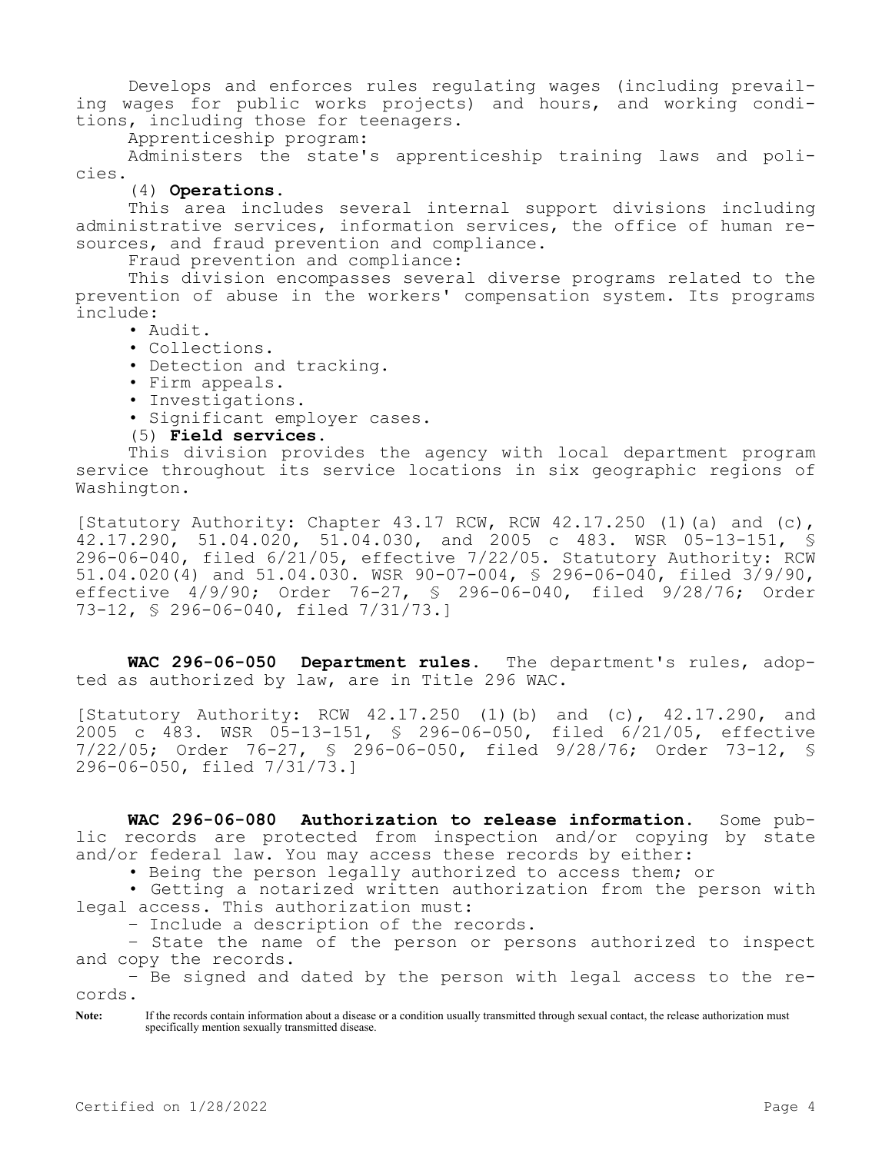Develops and enforces rules regulating wages (including prevailing wages for public works projects) and hours, and working conditions, including those for teenagers.

Apprenticeship program:

Administers the state's apprenticeship training laws and policies.

## (4) **Operations.**

This area includes several internal support divisions including administrative services, information services, the office of human resources, and fraud prevention and compliance.

Fraud prevention and compliance:

This division encompasses several diverse programs related to the prevention of abuse in the workers' compensation system. Its programs include:

- Audit.
- Collections.
- Detection and tracking.
- Firm appeals.
- Investigations.
- Significant employer cases.

## (5) **Field services.**

This division provides the agency with local department program service throughout its service locations in six geographic regions of Washington.

[Statutory Authority: Chapter  $43.17$  RCW, RCW  $42.17.250$  (1)(a) and (c), 42.17.290, 51.04.020, 51.04.030, and 2005 c 483. WSR 05-13-151, § 296-06-040, filed 6/21/05, effective 7/22/05. Statutory Authority: RCW 51.04.020(4) and 51.04.030. WSR 90-07-004, § 296-06-040, filed 3/9/90, effective 4/9/90; Order 76-27, § 296-06-040, filed 9/28/76; Order 73-12, § 296-06-040, filed 7/31/73.]

**WAC 296-06-050 Department rules.** The department's rules, adopted as authorized by law, are in Title 296 WAC.

[Statutory Authority: RCW 42.17.250 (1)(b) and (c), 42.17.290, and 2005 c 483. WSR 05-13-151, § 296-06-050, filed 6/21/05, effective 7/22/05; Order 76-27, § 296-06-050, filed 9/28/76; Order 73-12, § 296-06-050, filed 7/31/73.]

**WAC 296-06-080 Authorization to release information.** Some public records are protected from inspection and/or copying by state and/or federal law. You may access these records by either:

• Being the person legally authorized to access them; or

• Getting a notarized written authorization from the person with legal access. This authorization must:

– Include a description of the records.

– State the name of the person or persons authorized to inspect and copy the records.

– Be signed and dated by the person with legal access to the records.

Note: If the records contain information about a disease or a condition usually transmitted through sexual contact, the release authorization must specifically mention sexually transmitted disease.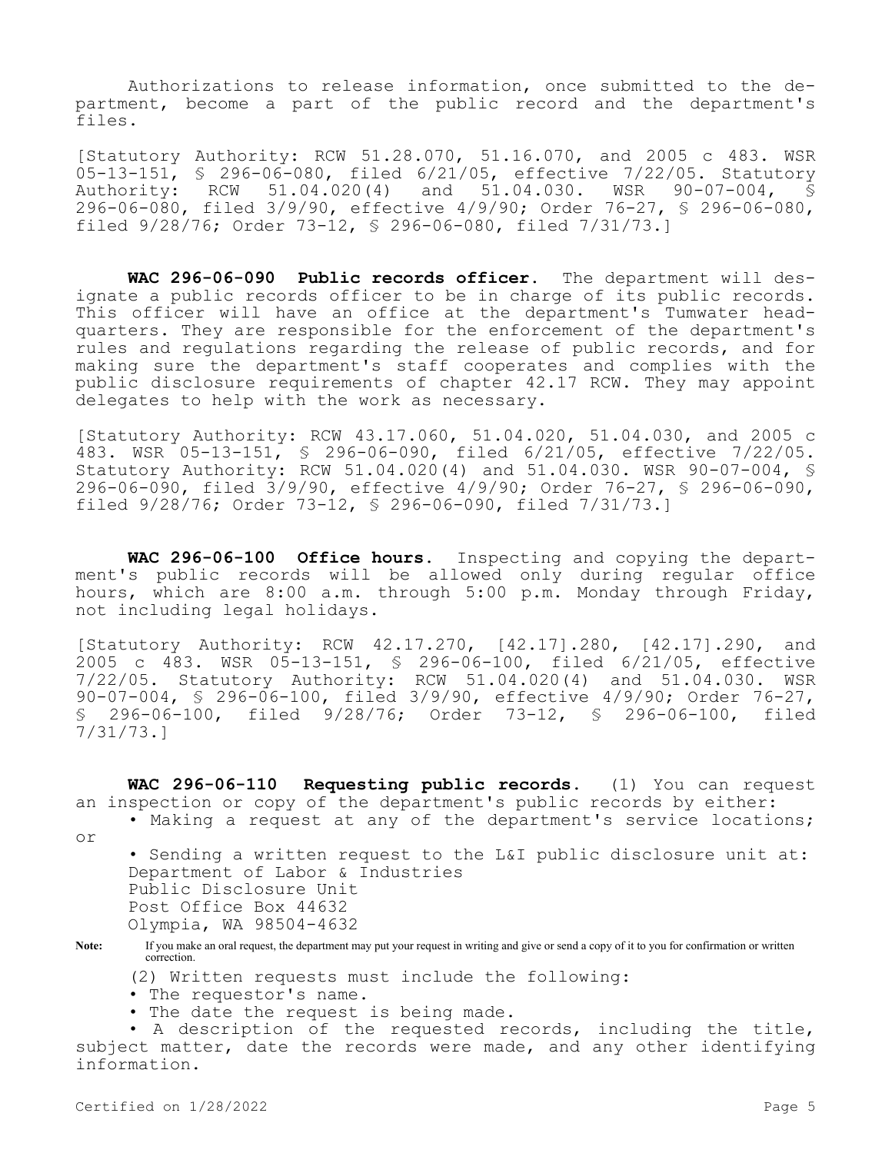Authorizations to release information, once submitted to the department, become a part of the public record and the department's files.

[Statutory Authority: RCW 51.28.070, 51.16.070, and 2005 c 483. WSR 05-13-151, § 296-06-080, filed 6/21/05, effective 7/22/05. Statutory<br>Authority: RCW 51.04.020(4) and 51.04.030. WSR 90-07-004, § RCW 51.04.020(4) and 51.04.030. WSR 90-07-004,  $\overline{\$}$ 296-06-080, filed 3/9/90, effective 4/9/90; Order 76-27, § 296-06-080, filed 9/28/76; Order 73-12, § 296-06-080, filed 7/31/73.]

**WAC 296-06-090 Public records officer.** The department will designate a public records officer to be in charge of its public records. This officer will have an office at the department's Tumwater headquarters. They are responsible for the enforcement of the department's rules and regulations regarding the release of public records, and for making sure the department's staff cooperates and complies with the public disclosure requirements of chapter 42.17 RCW. They may appoint delegates to help with the work as necessary.

[Statutory Authority: RCW 43.17.060, 51.04.020, 51.04.030, and 2005 c 483. WSR 05-13-151, § 296-06-090, filed 6/21/05, effective 7/22/05. Statutory Authority: RCW 51.04.020(4) and 51.04.030. WSR 90-07-004, § 296-06-090, filed 3/9/90, effective 4/9/90; Order 76-27, § 296-06-090, filed 9/28/76; Order 73-12, § 296-06-090, filed 7/31/73.]

**WAC 296-06-100 Office hours.** Inspecting and copying the department's public records will be allowed only during regular office hours, which are 8:00 a.m. through 5:00 p.m. Monday through Friday, not including legal holidays.

[Statutory Authority: RCW 42.17.270, [42.17].280, [42.17].290, and 2005 c 483. WSR 05-13-151, § 296-06-100, filed 6/21/05, effective 7/22/05. Statutory Authority: RCW 51.04.020(4) and 51.04.030. WSR 90-07-004, § 296-06-100, filed 3/9/90, effective 4/9/90; Order 76-27, § 296-06-100, filed 9/28/76; Order 73-12, § 296-06-100, filed 7/31/73.]

**WAC 296-06-110 Requesting public records.** (1) You can request an inspection or copy of the department's public records by either:

- Making a request at any of the department's service locations;
- or

• Sending a written request to the L&I public disclosure unit at: Department of Labor & Industries Public Disclosure Unit Post Office Box 44632 Olympia, WA 98504-4632

**Note:** If you make an oral request, the department may put your request in writing and give or send a copy of it to you for confirmation or written correction.

(2) Written requests must include the following:

- The requestor's name.
- The date the request is being made.

• A description of the requested records, including the title, subject matter, date the records were made, and any other identifying information.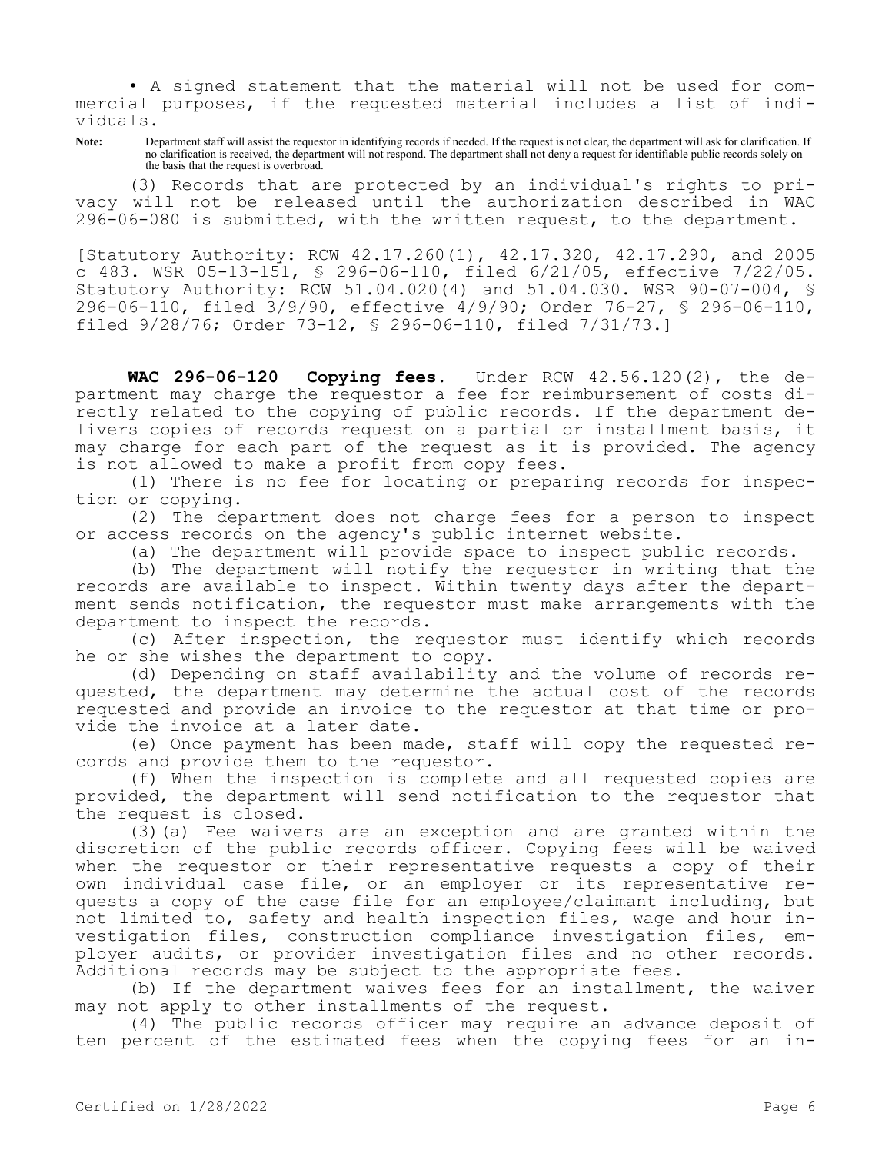• A signed statement that the material will not be used for commercial purposes, if the requested material includes a list of individuals.

Note: Department staff will assist the requestor in identifying records if needed. If the request is not clear, the department will ask for clarification. If no clarification is received, the department will not respond. The department shall not deny a request for identifiable public records solely on the basis that the request is overbroad.

(3) Records that are protected by an individual's rights to privacy will not be released until the authorization described in WAC 296-06-080 is submitted, with the written request, to the department.

[Statutory Authority: RCW 42.17.260(1), 42.17.320, 42.17.290, and 2005 c 483. WSR 05-13-151, § 296-06-110, filed 6/21/05, effective 7/22/05. Statutory Authority: RCW 51.04.020(4) and 51.04.030. WSR 90-07-004, § 296-06-110, filed 3/9/90, effective 4/9/90; Order 76-27, § 296-06-110, filed 9/28/76; Order 73-12, § 296-06-110, filed 7/31/73.]

**WAC 296-06-120 Copying fees.** Under RCW 42.56.120(2), the department may charge the requestor a fee for reimbursement of costs directly related to the copying of public records. If the department delivers copies of records request on a partial or installment basis, it may charge for each part of the request as it is provided. The agency is not allowed to make a profit from copy fees.

(1) There is no fee for locating or preparing records for inspection or copying.

(2) The department does not charge fees for a person to inspect or access records on the agency's public internet website.

(a) The department will provide space to inspect public records.

(b) The department will notify the requestor in writing that the records are available to inspect. Within twenty days after the department sends notification, the requestor must make arrangements with the department to inspect the records.

(c) After inspection, the requestor must identify which records he or she wishes the department to copy.

(d) Depending on staff availability and the volume of records requested, the department may determine the actual cost of the records requested and provide an invoice to the requestor at that time or provide the invoice at a later date.

(e) Once payment has been made, staff will copy the requested records and provide them to the requestor.

(f) When the inspection is complete and all requested copies are provided, the department will send notification to the requestor that the request is closed.

(3)(a) Fee waivers are an exception and are granted within the discretion of the public records officer. Copying fees will be waived when the requestor or their representative requests a copy of their own individual case file, or an employer or its representative requests a copy of the case file for an employee/claimant including, but not limited to, safety and health inspection files, wage and hour investigation files, construction compliance investigation files, employer audits, or provider investigation files and no other records. Additional records may be subject to the appropriate fees.

(b) If the department waives fees for an installment, the waiver may not apply to other installments of the request.

(4) The public records officer may require an advance deposit of ten percent of the estimated fees when the copying fees for an in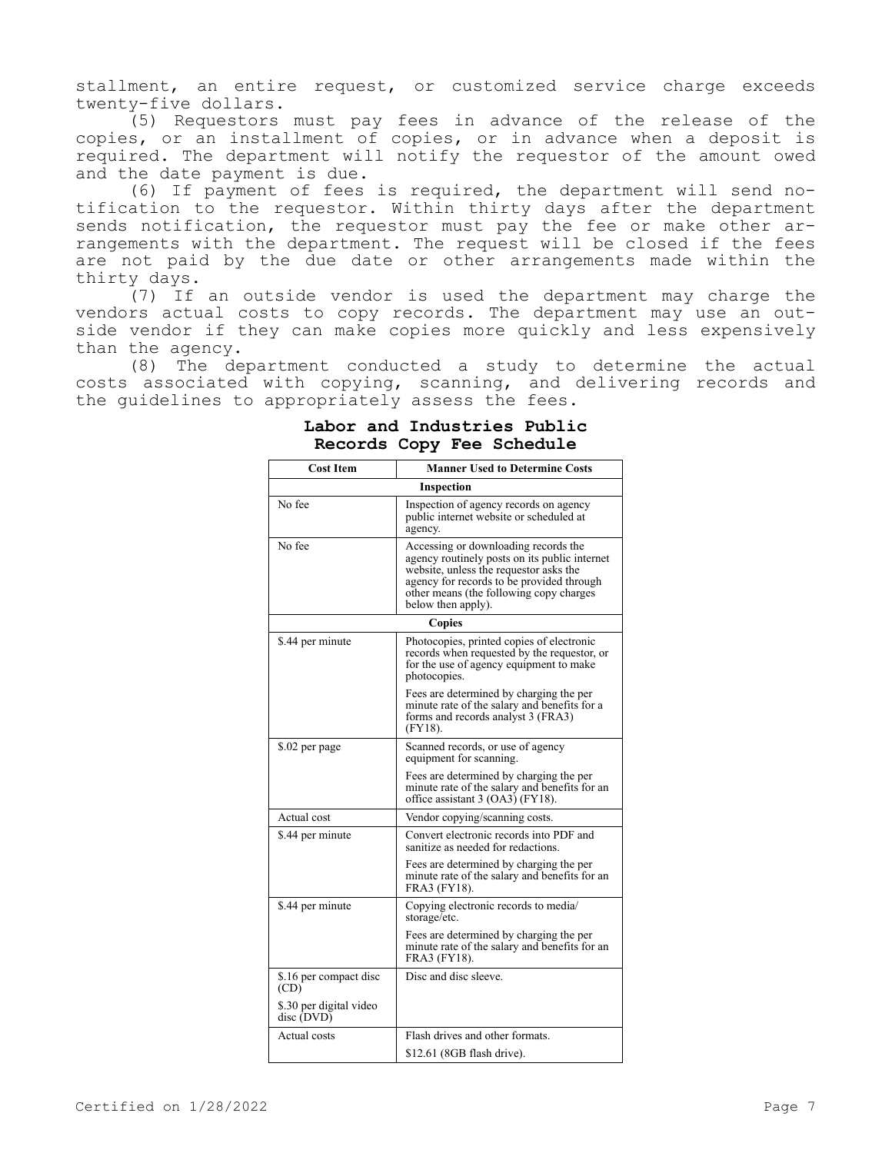stallment, an entire request, or customized service charge exceeds twenty-five dollars.

(5) Requestors must pay fees in advance of the release of the copies, or an installment of copies, or in advance when a deposit is required. The department will notify the requestor of the amount owed and the date payment is due.

(6) If payment of fees is required, the department will send notification to the requestor. Within thirty days after the department sends notification, the requestor must pay the fee or make other arrangements with the department. The request will be closed if the fees are not paid by the due date or other arrangements made within the thirty days.

(7) If an outside vendor is used the department may charge the vendors actual costs to copy records. The department may use an outside vendor if they can make copies more quickly and less expensively than the agency.

(8) The department conducted a study to determine the actual costs associated with copying, scanning, and delivering records and the guidelines to appropriately assess the fees.

| <b>Cost Item</b>                      | <b>Manner Used to Determine Costs</b>                                                                                                                                                                                                         |  |  |
|---------------------------------------|-----------------------------------------------------------------------------------------------------------------------------------------------------------------------------------------------------------------------------------------------|--|--|
|                                       | Inspection                                                                                                                                                                                                                                    |  |  |
| No fee                                | Inspection of agency records on agency<br>public internet website or scheduled at<br>agency.                                                                                                                                                  |  |  |
| No fee                                | Accessing or downloading records the<br>agency routinely posts on its public internet<br>website, unless the requestor asks the<br>agency for records to be provided through<br>other means (the following copy charges<br>below then apply). |  |  |
| Copies                                |                                                                                                                                                                                                                                               |  |  |
| \$.44 per minute                      | Photocopies, printed copies of electronic<br>records when requested by the requestor, or<br>for the use of agency equipment to make<br>photocopies.                                                                                           |  |  |
|                                       | Fees are determined by charging the per<br>minute rate of the salary and benefits for a<br>forms and records analyst 3 (FRA3)<br>$(FY18)$ .                                                                                                   |  |  |
| \$.02 per page                        | Scanned records, or use of agency<br>equipment for scanning.                                                                                                                                                                                  |  |  |
|                                       | Fees are determined by charging the per<br>minute rate of the salary and benefits for an<br>office assistant 3 (OA3) (FY18).                                                                                                                  |  |  |
| Actual cost                           | Vendor copying/scanning costs.                                                                                                                                                                                                                |  |  |
| \$.44 per minute                      | Convert electronic records into PDF and<br>sanitize as needed for redactions.                                                                                                                                                                 |  |  |
|                                       | Fees are determined by charging the per<br>minute rate of the salary and benefits for an<br>FRA3 (FY18).                                                                                                                                      |  |  |
| \$.44 per minute                      | Copying electronic records to media/<br>storage/etc.                                                                                                                                                                                          |  |  |
|                                       | Fees are determined by charging the per<br>minute rate of the salary and benefits for an<br>FRA3 (FY18).                                                                                                                                      |  |  |
| \$.16 per compact disc<br>(CD)        | Disc and disc sleeve.                                                                                                                                                                                                                         |  |  |
| \$.30 per digital video<br>disc (DVD) |                                                                                                                                                                                                                                               |  |  |
| Actual costs                          | Flash drives and other formats.                                                                                                                                                                                                               |  |  |
|                                       | \$12.61 (8GB flash drive).                                                                                                                                                                                                                    |  |  |

# **Labor and Industries Public Records Copy Fee Schedule**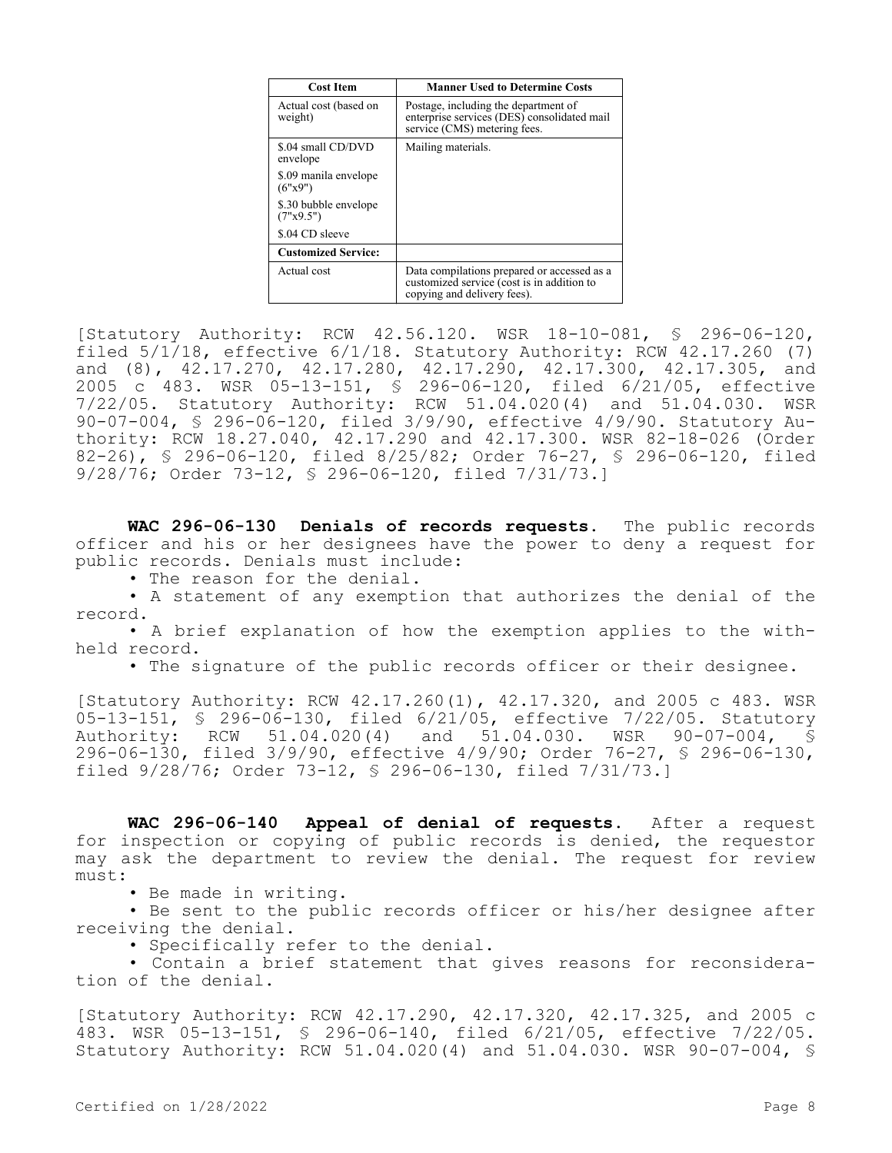| <b>Cost Item</b>                   | <b>Manner Used to Determine Costs</b>                                                                                    |
|------------------------------------|--------------------------------------------------------------------------------------------------------------------------|
| Actual cost (based on<br>weight)   | Postage, including the department of<br>enterprise services (DES) consolidated mail<br>service (CMS) metering fees.      |
| \$.04 small CD/DVD<br>envelope     | Mailing materials.                                                                                                       |
| \$.09 manila envelope<br>(6"x9")   |                                                                                                                          |
| \$.30 bubble envelope<br>(7"x9.5") |                                                                                                                          |
| \$.04 CD sleeve                    |                                                                                                                          |
| <b>Customized Service:</b>         |                                                                                                                          |
| Actual cost                        | Data compilations prepared or accessed as a<br>customized service (cost is in addition to<br>copying and delivery fees). |

[Statutory Authority: RCW 42.56.120. WSR 18-10-081, § 296-06-120, filed 5/1/18, effective 6/1/18. Statutory Authority: RCW 42.17.260 (7) and (8), 42.17.270, 42.17.280, 42.17.290, 42.17.300, 42.17.305, and 2005 c 483. WSR 05-13-151, § 296-06-120, filed 6/21/05, effective 7/22/05. Statutory Authority: RCW 51.04.020(4) and 51.04.030. WSR 90-07-004, § 296-06-120, filed 3/9/90, effective 4/9/90. Statutory Authority: RCW 18.27.040, 42.17.290 and 42.17.300. WSR 82-18-026 (Order 82-26), § 296-06-120, filed 8/25/82; Order 76-27, § 296-06-120, filed 9/28/76; Order 73-12, § 296-06-120, filed 7/31/73.]

**WAC 296-06-130 Denials of records requests.** The public records officer and his or her designees have the power to deny a request for public records. Denials must include:

• The reason for the denial.

• A statement of any exemption that authorizes the denial of the record.

• A brief explanation of how the exemption applies to the withheld record.

• The signature of the public records officer or their designee.

[Statutory Authority: RCW 42.17.260(1), 42.17.320, and 2005 c 483. WSR 05-13-151, § 296-06-130, filed 6/21/05, effective 7/22/05. Statutory Authority: RCW 51.04.020(4) and 51.04.030. WSR 90-07-004, § 296-06-130, filed 3/9/90, effective 4/9/90; Order 76-27, § 296-06-130, filed 9/28/76; Order 73-12, § 296-06-130, filed 7/31/73.]

**WAC 296-06-140 Appeal of denial of requests.** After a request for inspection or copying of public records is denied, the requestor may ask the department to review the denial. The request for review must:

• Be made in writing.

• Be sent to the public records officer or his/her designee after receiving the denial.

• Specifically refer to the denial.

• Contain a brief statement that gives reasons for reconsideration of the denial.

[Statutory Authority: RCW 42.17.290, 42.17.320, 42.17.325, and 2005 c 483. WSR 05-13-151, § 296-06-140, filed 6/21/05, effective 7/22/05. Statutory Authority: RCW 51.04.020(4) and 51.04.030. WSR 90-07-004, §